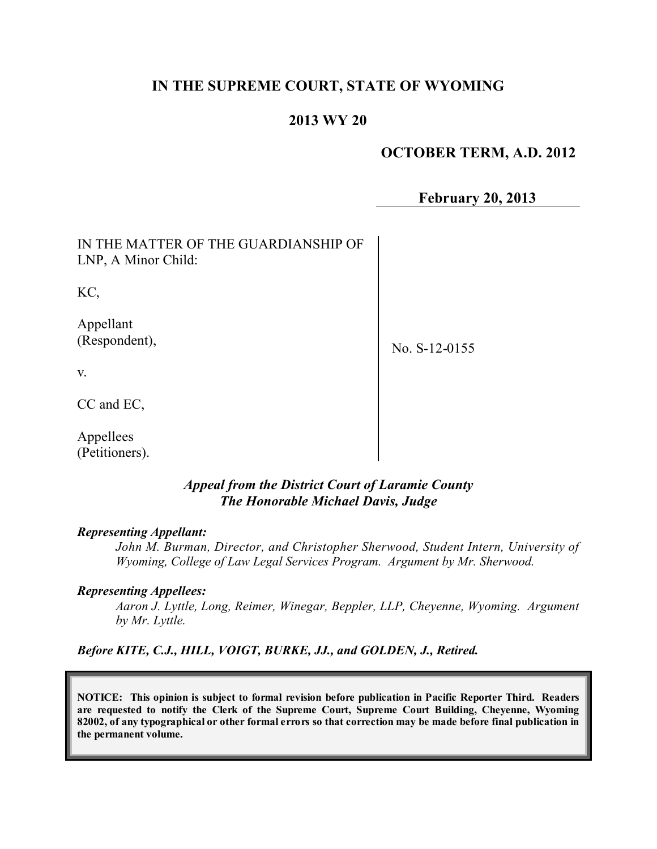## **IN THE SUPREME COURT, STATE OF WYOMING**

## **2013 WY 20**

#### **OCTOBER TERM, A.D. 2012**

**February 20, 2013**

| IN THE MATTER OF THE GUARDIANSHIP OF<br>LNP, A Minor Child: |               |
|-------------------------------------------------------------|---------------|
| KC,                                                         |               |
| Appellant<br>(Respondent),                                  | No. S-12-0155 |
| V.                                                          |               |
| CC and EC,                                                  |               |
| Appellees                                                   |               |

#### *Appeal from the District Court of Laramie County The Honorable Michael Davis, Judge*

#### *Representing Appellant:*

(Petitioners).

*John M. Burman, Director, and Christopher Sherwood, Student Intern, University of Wyoming, College of Law Legal Services Program. Argument by Mr. Sherwood.*

#### *Representing Appellees:*

*Aaron J. Lyttle, Long, Reimer, Winegar, Beppler, LLP, Cheyenne, Wyoming. Argument by Mr. Lyttle.*

*Before KITE, C.J., HILL, VOIGT, BURKE, JJ., and GOLDEN, J., Retired.*

**NOTICE: This opinion is subject to formal revision before publication in Pacific Reporter Third. Readers are requested to notify the Clerk of the Supreme Court, Supreme Court Building, Cheyenne, Wyoming** 82002, of any typographical or other formal errors so that correction may be made before final publication in **the permanent volume.**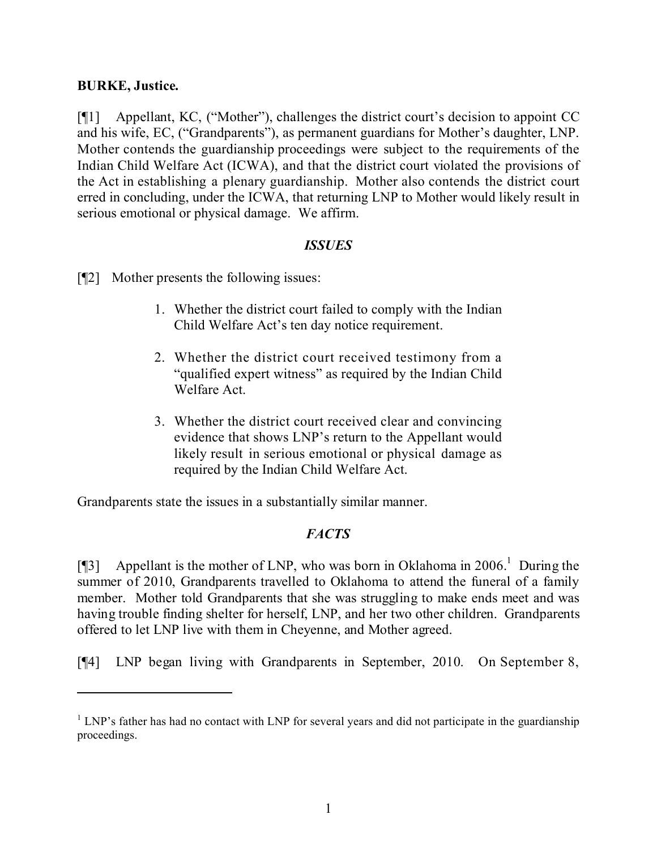### **BURKE, Justice.**

[¶1] Appellant, KC, ("Mother"), challenges the district court's decision to appoint CC and his wife, EC, ("Grandparents"), as permanent guardians for Mother's daughter, LNP. Mother contends the guardianship proceedings were subject to the requirements of the Indian Child Welfare Act (ICWA), and that the district court violated the provisions of the Act in establishing a plenary guardianship. Mother also contends the district court erred in concluding, under the ICWA, that returning LNP to Mother would likely result in serious emotional or physical damage. We affirm.

### *ISSUES*

[¶2] Mother presents the following issues:

- 1. Whether the district court failed to comply with the Indian Child Welfare Act's ten day notice requirement.
- 2. Whether the district court received testimony from a "qualified expert witness" as required by the Indian Child Welfare Act.
- 3. Whether the district court received clear and convincing evidence that shows LNP's return to the Appellant would likely result in serious emotional or physical damage as required by the Indian Child Welfare Act.

Grandparents state the issues in a substantially similar manner.

## *FACTS*

[¶3] Appellant is the mother of LNP, who was born in Oklahoma in 2006.<sup>1</sup> During the summer of 2010, Grandparents travelled to Oklahoma to attend the funeral of a family member. Mother told Grandparents that she was struggling to make ends meet and was having trouble finding shelter for herself, LNP, and her two other children. Grandparents offered to let LNP live with them in Cheyenne, and Mother agreed.

[¶4] LNP began living with Grandparents in September, 2010. On September 8,

 $1$  LNP's father has had no contact with LNP for several years and did not participate in the guardianship proceedings.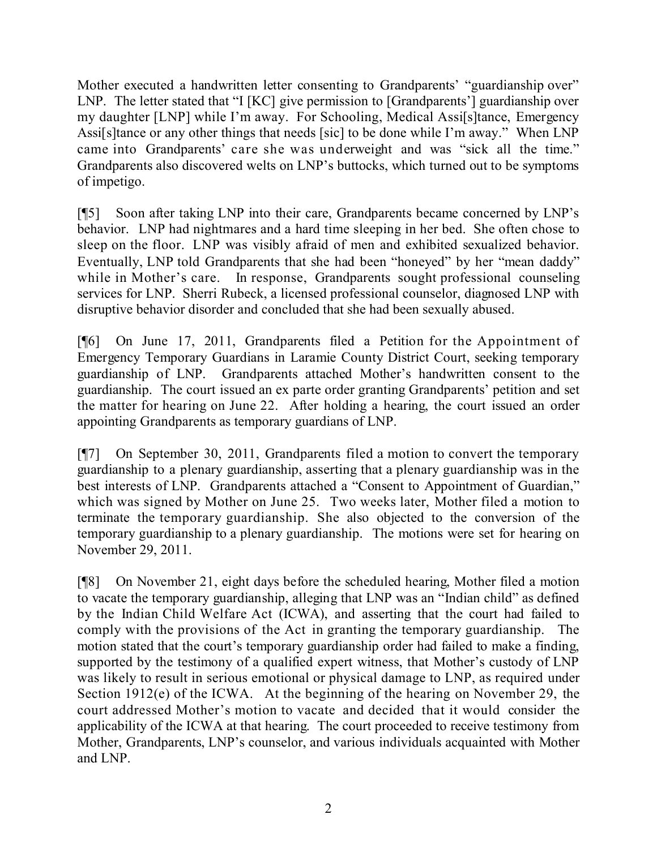Mother executed a handwritten letter consenting to Grandparents' "guardianship over" LNP. The letter stated that "I [KC] give permission to [Grandparents'] guardianship over my daughter [LNP] while I'm away. For Schooling, Medical Assi[s]tance, Emergency Assi[s]tance or any other things that needs [sic] to be done while I'm away." When LNP came into Grandparents' care she was underweight and was "sick all the time." Grandparents also discovered welts on LNP's buttocks, which turned out to be symptoms of impetigo.

[¶5] Soon after taking LNP into their care, Grandparents became concerned by LNP's behavior. LNP had nightmares and a hard time sleeping in her bed. She often chose to sleep on the floor. LNP was visibly afraid of men and exhibited sexualized behavior. Eventually, LNP told Grandparents that she had been "honeyed" by her "mean daddy" while in Mother's care. In response, Grandparents sought professional counseling services for LNP. Sherri Rubeck, a licensed professional counselor, diagnosed LNP with disruptive behavior disorder and concluded that she had been sexually abused.

[¶6] On June 17, 2011, Grandparents filed a Petition for the Appointment of Emergency Temporary Guardians in Laramie County District Court, seeking temporary guardianship of LNP. Grandparents attached Mother's handwritten consent to the guardianship. The court issued an ex parte order granting Grandparents' petition and set the matter for hearing on June 22. After holding a hearing, the court issued an order appointing Grandparents as temporary guardians of LNP.

[¶7] On September 30, 2011, Grandparents filed a motion to convert the temporary guardianship to a plenary guardianship, asserting that a plenary guardianship was in the best interests of LNP. Grandparents attached a "Consent to Appointment of Guardian," which was signed by Mother on June 25. Two weeks later, Mother filed a motion to terminate the temporary guardianship. She also objected to the conversion of the temporary guardianship to a plenary guardianship. The motions were set for hearing on November 29, 2011.

[¶8] On November 21, eight days before the scheduled hearing, Mother filed a motion to vacate the temporary guardianship, alleging that LNP was an "Indian child" as defined by the Indian Child Welfare Act (ICWA), and asserting that the court had failed to comply with the provisions of the Act in granting the temporary guardianship. The motion stated that the court's temporary guardianship order had failed to make a finding, supported by the testimony of a qualified expert witness, that Mother's custody of LNP was likely to result in serious emotional or physical damage to LNP, as required under Section 1912(e) of the ICWA. At the beginning of the hearing on November 29, the court addressed Mother's motion to vacate and decided that it would consider the applicability of the ICWA at that hearing. The court proceeded to receive testimony from Mother, Grandparents, LNP's counselor, and various individuals acquainted with Mother and LNP.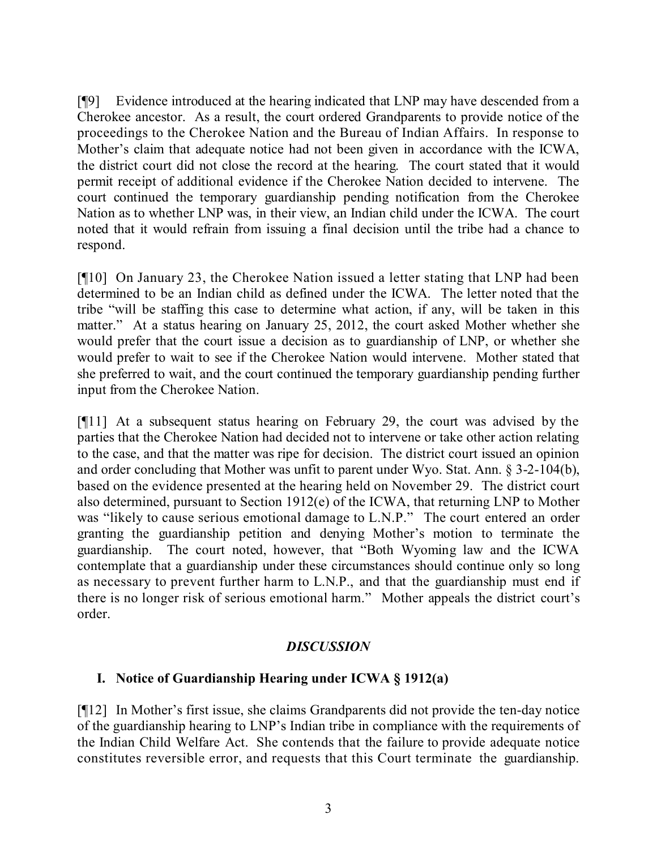[¶9] Evidence introduced at the hearing indicated that LNP may have descended from a Cherokee ancestor. As a result, the court ordered Grandparents to provide notice of the proceedings to the Cherokee Nation and the Bureau of Indian Affairs. In response to Mother's claim that adequate notice had not been given in accordance with the ICWA, the district court did not close the record at the hearing. The court stated that it would permit receipt of additional evidence if the Cherokee Nation decided to intervene. The court continued the temporary guardianship pending notification from the Cherokee Nation as to whether LNP was, in their view, an Indian child under the ICWA. The court noted that it would refrain from issuing a final decision until the tribe had a chance to respond.

[¶10] On January 23, the Cherokee Nation issued a letter stating that LNP had been determined to be an Indian child as defined under the ICWA. The letter noted that the tribe "will be staffing this case to determine what action, if any, will be taken in this matter." At a status hearing on January 25, 2012, the court asked Mother whether she would prefer that the court issue a decision as to guardianship of LNP, or whether she would prefer to wait to see if the Cherokee Nation would intervene. Mother stated that she preferred to wait, and the court continued the temporary guardianship pending further input from the Cherokee Nation.

[¶11] At a subsequent status hearing on February 29, the court was advised by the parties that the Cherokee Nation had decided not to intervene or take other action relating to the case, and that the matter was ripe for decision. The district court issued an opinion and order concluding that Mother was unfit to parent under Wyo. Stat. Ann. § 3-2-104(b), based on the evidence presented at the hearing held on November 29. The district court also determined, pursuant to Section 1912(e) of the ICWA, that returning LNP to Mother was "likely to cause serious emotional damage to L.N.P." The court entered an order granting the guardianship petition and denying Mother's motion to terminate the guardianship. The court noted, however, that "Both Wyoming law and the ICWA contemplate that a guardianship under these circumstances should continue only so long as necessary to prevent further harm to L.N.P., and that the guardianship must end if there is no longer risk of serious emotional harm." Mother appeals the district court's order.

#### *DISCUSSION*

## **I. Notice of Guardianship Hearing under ICWA § 1912(a)**

[¶12] In Mother's first issue, she claims Grandparents did not provide the ten-day notice of the guardianship hearing to LNP's Indian tribe in compliance with the requirements of the Indian Child Welfare Act. She contends that the failure to provide adequate notice constitutes reversible error, and requests that this Court terminate the guardianship.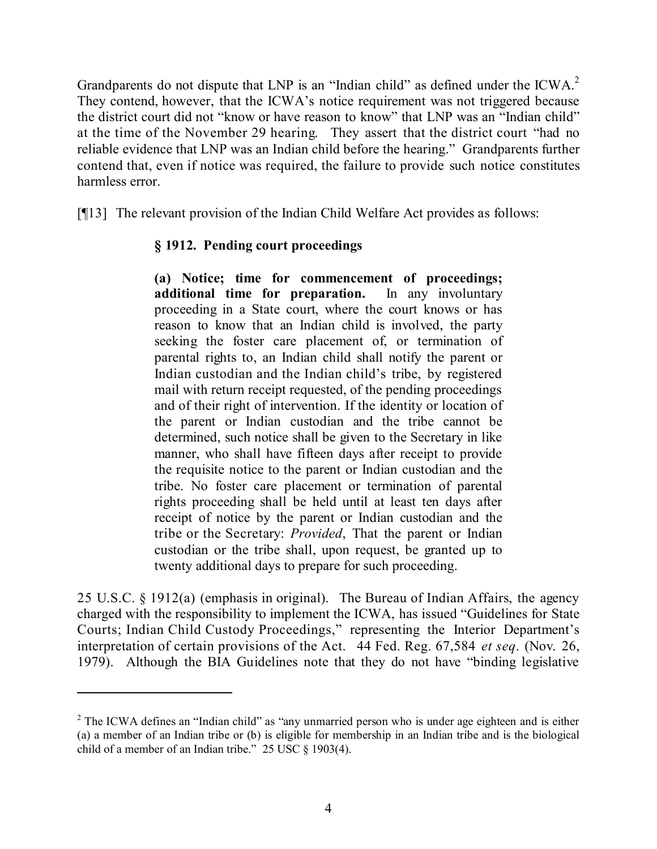Grandparents do not dispute that LNP is an "Indian child" as defined under the ICWA. $^2$ They contend, however, that the ICWA's notice requirement was not triggered because the district court did not "know or have reason to know" that LNP was an "Indian child" at the time of the November 29 hearing. They assert that the district court "had no reliable evidence that LNP was an Indian child before the hearing." Grandparents further contend that, even if notice was required, the failure to provide such notice constitutes harmless error.

[¶13] The relevant provision of the Indian Child Welfare Act provides as follows:

# **§ 1912. Pending court proceedings**

**(a) Notice; time for commencement of proceedings; additional time for preparation.** In any involuntary proceeding in a State court, where the court knows or has reason to know that an Indian child is involved, the party seeking the foster care placement of, or termination of parental rights to, an Indian child shall notify the parent or Indian custodian and the Indian child's tribe, by registered mail with return receipt requested, of the pending proceedings and of their right of intervention. If the identity or location of the parent or Indian custodian and the tribe cannot be determined, such notice shall be given to the Secretary in like manner, who shall have fifteen days after receipt to provide the requisite notice to the parent or Indian custodian and the tribe. No foster care placement or termination of parental rights proceeding shall be held until at least ten days after receipt of notice by the parent or Indian custodian and the tribe or the Secretary: *Provided*, That the parent or Indian custodian or the tribe shall, upon request, be granted up to twenty additional days to prepare for such proceeding.

25 U.S.C. § 1912(a) (emphasis in original). The Bureau of Indian Affairs, the agency charged with the responsibility to implement the ICWA, has issued "Guidelines for State Courts; Indian Child Custody Proceedings," representing the Interior Department's interpretation of certain provisions of the Act. 44 Fed. Reg. 67,584 *et seq*. (Nov. 26, 1979). Although the BIA Guidelines note that they do not have "binding legislative

<sup>&</sup>lt;sup>2</sup> The ICWA defines an "Indian child" as "any unmarried person who is under age eighteen and is either (a) a member of an Indian tribe or (b) is eligible for membership in an Indian tribe and is the biological child of a member of an Indian tribe." 25 USC § 1903(4).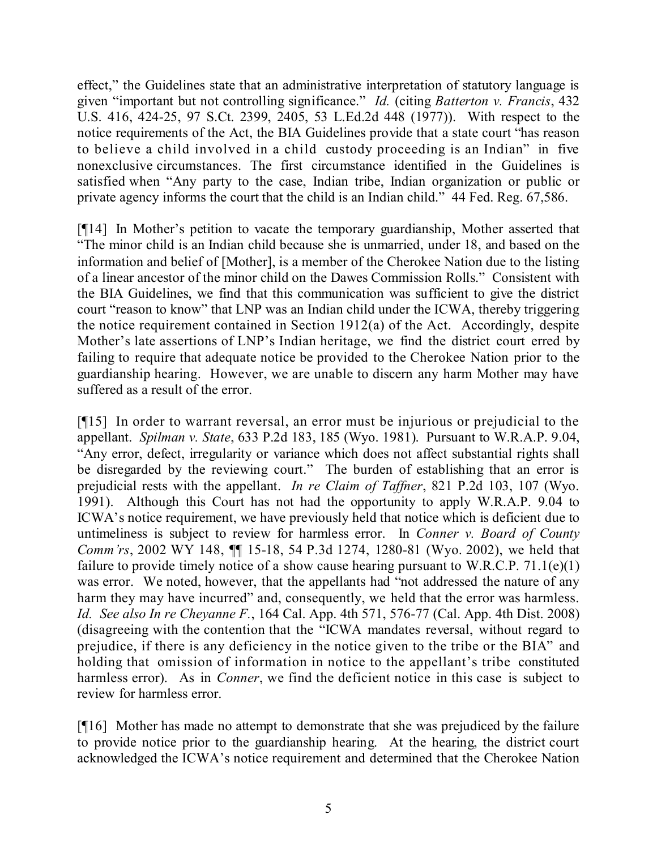effect," the Guidelines state that an administrative interpretation of statutory language is given "important but not controlling significance." *Id.* (citing *Batterton v. Francis*, 432 U.S. 416, 424-25, 97 S.Ct. 2399, 2405, 53 L.Ed.2d 448 (1977)). With respect to the notice requirements of the Act, the BIA Guidelines provide that a state court "has reason to believe a child involved in a child custody proceeding is an Indian" in five nonexclusive circumstances. The first circumstance identified in the Guidelines is satisfied when "Any party to the case, Indian tribe, Indian organization or public or private agency informs the court that the child is an Indian child." 44 Fed. Reg. 67,586.

[¶14] In Mother's petition to vacate the temporary guardianship, Mother asserted that "The minor child is an Indian child because she is unmarried, under 18, and based on the information and belief of [Mother], is a member of the Cherokee Nation due to the listing of a linear ancestor of the minor child on the Dawes Commission Rolls." Consistent with the BIA Guidelines, we find that this communication was sufficient to give the district court "reason to know" that LNP was an Indian child under the ICWA, thereby triggering the notice requirement contained in Section 1912(a) of the Act. Accordingly, despite Mother's late assertions of LNP's Indian heritage, we find the district court erred by failing to require that adequate notice be provided to the Cherokee Nation prior to the guardianship hearing. However, we are unable to discern any harm Mother may have suffered as a result of the error.

[¶15] In order to warrant reversal, an error must be injurious or prejudicial to the appellant. *Spilman v. State*, 633 P.2d 183, 185 (Wyo. 1981). Pursuant to W.R.A.P. 9.04, "Any error, defect, irregularity or variance which does not affect substantial rights shall be disregarded by the reviewing court." The burden of establishing that an error is prejudicial rests with the appellant. *In re Claim of Taffner*, 821 P.2d 103, 107 (Wyo. 1991). Although this Court has not had the opportunity to apply W.R.A.P. 9.04 to ICWA's notice requirement, we have previously held that notice which is deficient due to untimeliness is subject to review for harmless error. In *Conner v. Board of County Comm'rs*, 2002 WY 148, ¶¶ 15-18, 54 P.3d 1274, 1280-81 (Wyo. 2002), we held that failure to provide timely notice of a show cause hearing pursuant to W.R.C.P.  $71.1(e)(1)$ was error. We noted, however, that the appellants had "not addressed the nature of any harm they may have incurred" and, consequently, we held that the error was harmless. *Id. See also In re Cheyanne F.*, 164 Cal. App. 4th 571, 576-77 (Cal. App. 4th Dist. 2008) (disagreeing with the contention that the "ICWA mandates reversal, without regard to prejudice, if there is any deficiency in the notice given to the tribe or the BIA" and holding that omission of information in notice to the appellant's tribe constituted harmless error). As in *Conner*, we find the deficient notice in this case is subject to review for harmless error.

[¶16] Mother has made no attempt to demonstrate that she was prejudiced by the failure to provide notice prior to the guardianship hearing. At the hearing, the district court acknowledged the ICWA's notice requirement and determined that the Cherokee Nation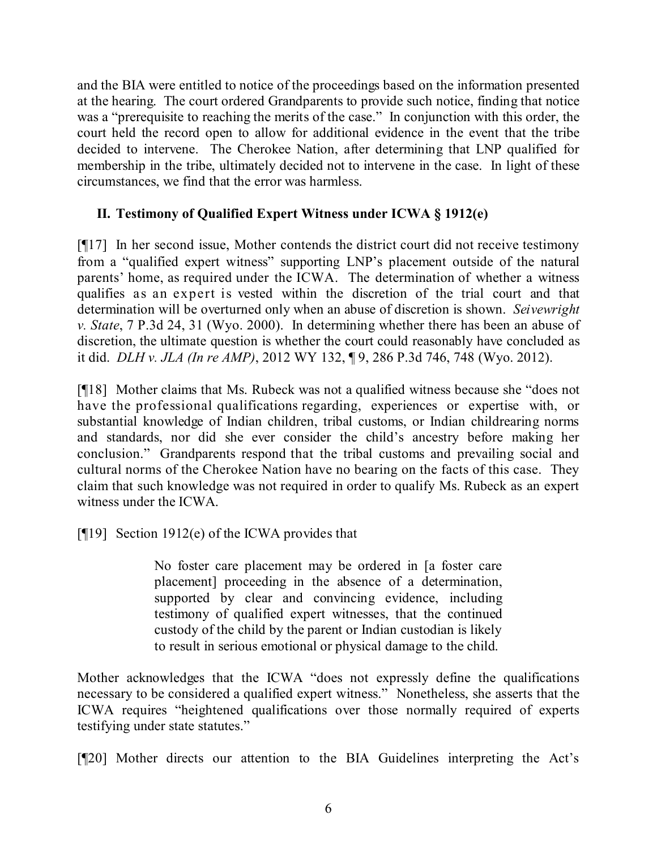and the BIA were entitled to notice of the proceedings based on the information presented at the hearing. The court ordered Grandparents to provide such notice, finding that notice was a "prerequisite to reaching the merits of the case." In conjunction with this order, the court held the record open to allow for additional evidence in the event that the tribe decided to intervene. The Cherokee Nation, after determining that LNP qualified for membership in the tribe, ultimately decided not to intervene in the case. In light of these circumstances, we find that the error was harmless.

## **II. Testimony of Qualified Expert Witness under ICWA § 1912(e)**

[¶17] In her second issue, Mother contends the district court did not receive testimony from a "qualified expert witness" supporting LNP's placement outside of the natural parents' home, as required under the ICWA. The determination of whether a witness qualifies as an expert is vested within the discretion of the trial court and that determination will be overturned only when an abuse of discretion is shown. *Seivewright v. State*, 7 P.3d 24, 31 (Wyo. 2000). In determining whether there has been an abuse of discretion, the ultimate question is whether the court could reasonably have concluded as it did. *DLH v. JLA (In re AMP)*, 2012 WY 132, ¶ 9, 286 P.3d 746, 748 (Wyo. 2012).

[¶18] Mother claims that Ms. Rubeck was not a qualified witness because she "does not have the professional qualifications regarding, experiences or expertise with, or substantial knowledge of Indian children, tribal customs, or Indian childrearing norms and standards, nor did she ever consider the child's ancestry before making her conclusion." Grandparents respond that the tribal customs and prevailing social and cultural norms of the Cherokee Nation have no bearing on the facts of this case. They claim that such knowledge was not required in order to qualify Ms. Rubeck as an expert witness under the ICWA.

[¶19] Section 1912(e) of the ICWA provides that

No foster care placement may be ordered in [a foster care placement] proceeding in the absence of a determination, supported by clear and convincing evidence, including testimony of qualified expert witnesses, that the continued custody of the child by the parent or Indian custodian is likely to result in serious emotional or physical damage to the child.

Mother acknowledges that the ICWA "does not expressly define the qualifications necessary to be considered a qualified expert witness." Nonetheless, she asserts that the ICWA requires "heightened qualifications over those normally required of experts testifying under state statutes."

[¶20] Mother directs our attention to the BIA Guidelines interpreting the Act's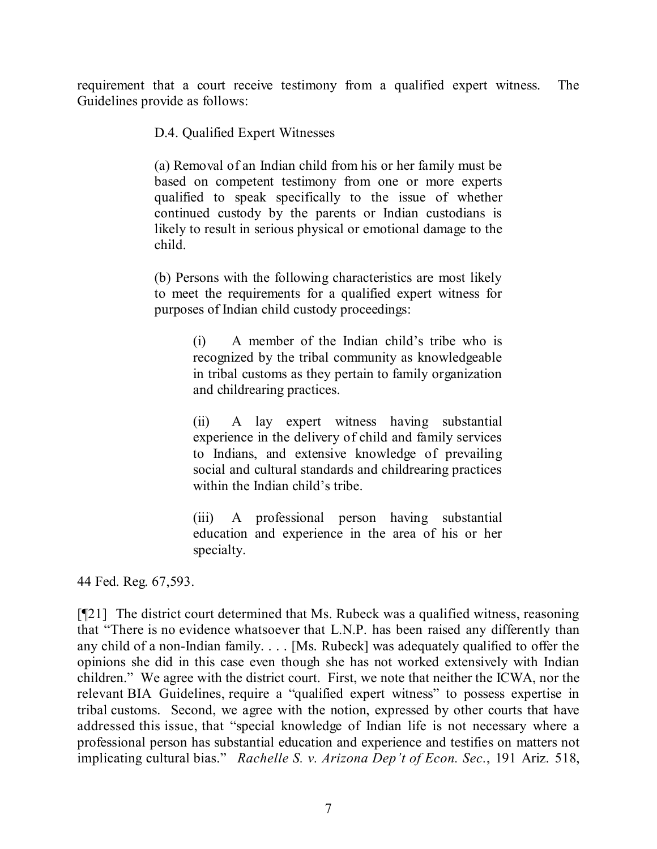requirement that a court receive testimony from a qualified expert witness. The Guidelines provide as follows:

D.4. Qualified Expert Witnesses

(a) Removal of an Indian child from his or her family must be based on competent testimony from one or more experts qualified to speak specifically to the issue of whether continued custody by the parents or Indian custodians is likely to result in serious physical or emotional damage to the child.

(b) Persons with the following characteristics are most likely to meet the requirements for a qualified expert witness for purposes of Indian child custody proceedings:

> (i) A member of the Indian child's tribe who is recognized by the tribal community as knowledgeable in tribal customs as they pertain to family organization and childrearing practices.

> (ii) A lay expert witness having substantial experience in the delivery of child and family services to Indians, and extensive knowledge of prevailing social and cultural standards and childrearing practices within the Indian child's tribe.

> (iii) A professional person having substantial education and experience in the area of his or her specialty.

44 Fed. Reg. 67,593.

[¶21] The district court determined that Ms. Rubeck was a qualified witness, reasoning that "There is no evidence whatsoever that L.N.P. has been raised any differently than any child of a non-Indian family. . . . [Ms. Rubeck] was adequately qualified to offer the opinions she did in this case even though she has not worked extensively with Indian children." We agree with the district court. First, we note that neither the ICWA, nor the relevant BIA Guidelines, require a "qualified expert witness" to possess expertise in tribal customs. Second, we agree with the notion, expressed by other courts that have addressed this issue, that "special knowledge of Indian life is not necessary where a professional person has substantial education and experience and testifies on matters not implicating cultural bias." *Rachelle S. v. Arizona Dep't of Econ. Sec.*, 191 Ariz. 518,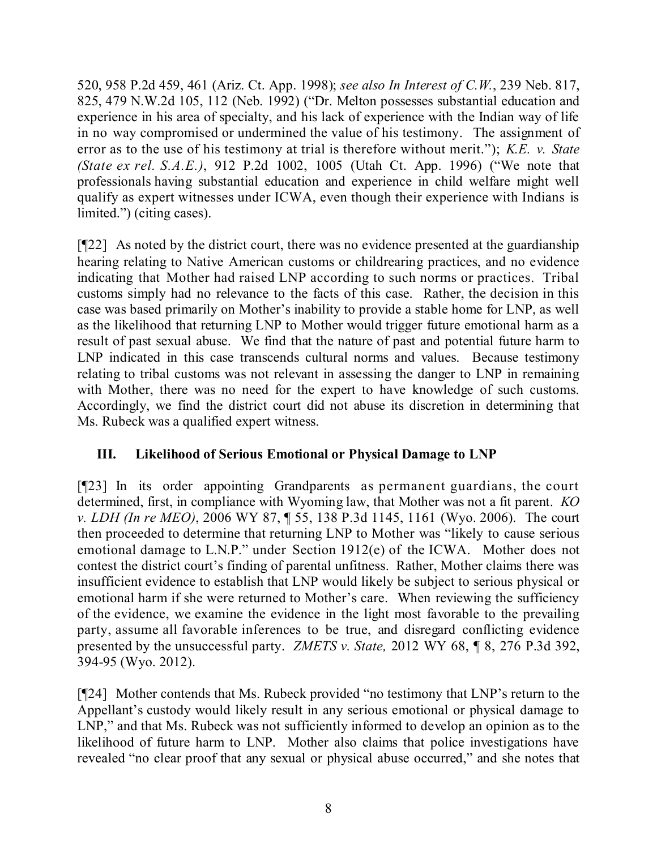520, 958 P.2d 459, 461 (Ariz. Ct. App. 1998); *see also In Interest of C.W.*, 239 Neb. 817, 825, 479 N.W.2d 105, 112 (Neb. 1992) ("Dr. Melton possesses substantial education and experience in his area of specialty, and his lack of experience with the Indian way of life in no way compromised or undermined the value of his testimony. The assignment of error as to the use of his testimony at trial is therefore without merit."); *K.E. v. State (State ex rel. S.A.E.)*, 912 P.2d 1002, 1005 (Utah Ct. App. 1996) ("We note that professionals having substantial education and experience in child welfare might well qualify as expert witnesses under ICWA, even though their experience with Indians is limited.") (citing cases).

[¶22] As noted by the district court, there was no evidence presented at the guardianship hearing relating to Native American customs or childrearing practices, and no evidence indicating that Mother had raised LNP according to such norms or practices. Tribal customs simply had no relevance to the facts of this case. Rather, the decision in this case was based primarily on Mother's inability to provide a stable home for LNP, as well as the likelihood that returning LNP to Mother would trigger future emotional harm as a result of past sexual abuse. We find that the nature of past and potential future harm to LNP indicated in this case transcends cultural norms and values. Because testimony relating to tribal customs was not relevant in assessing the danger to LNP in remaining with Mother, there was no need for the expert to have knowledge of such customs. Accordingly, we find the district court did not abuse its discretion in determining that Ms. Rubeck was a qualified expert witness.

# **III. Likelihood of Serious Emotional or Physical Damage to LNP**

[¶23] In its order appointing Grandparents as permanent guardians, the court determined, first, in compliance with Wyoming law, that Mother was not a fit parent. *KO v. LDH (In re MEO)*, 2006 WY 87, ¶ 55, 138 P.3d 1145, 1161 (Wyo. 2006). The court then proceeded to determine that returning LNP to Mother was "likely to cause serious emotional damage to L.N.P." under Section 1912(e) of the ICWA. Mother does not contest the district court's finding of parental unfitness. Rather, Mother claims there was insufficient evidence to establish that LNP would likely be subject to serious physical or emotional harm if she were returned to Mother's care. When reviewing the sufficiency of the evidence, we examine the evidence in the light most favorable to the prevailing party, assume all favorable inferences to be true, and disregard conflicting evidence presented by the unsuccessful party. *ZMETS v. State,* 2012 WY 68, ¶ 8, 276 P.3d 392, 394-95 (Wyo. 2012).

[¶24] Mother contends that Ms. Rubeck provided "no testimony that LNP's return to the Appellant's custody would likely result in any serious emotional or physical damage to LNP," and that Ms. Rubeck was not sufficiently informed to develop an opinion as to the likelihood of future harm to LNP. Mother also claims that police investigations have revealed "no clear proof that any sexual or physical abuse occurred," and she notes that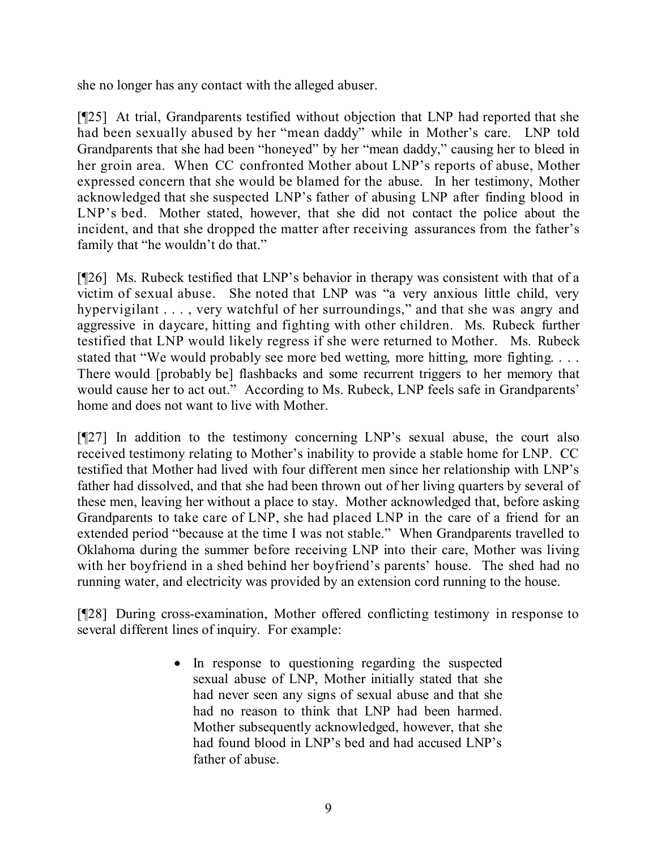she no longer has any contact with the alleged abuser.

[¶25] At trial, Grandparents testified without objection that LNP had reported that she had been sexually abused by her "mean daddy" while in Mother's care. LNP told Grandparents that she had been "honeyed" by her "mean daddy," causing her to bleed in her groin area. When CC confronted Mother about LNP's reports of abuse, Mother expressed concern that she would be blamed for the abuse. In her testimony, Mother acknowledged that she suspected LNP's father of abusing LNP after finding blood in LNP's bed. Mother stated, however, that she did not contact the police about the incident, and that she dropped the matter after receiving assurances from the father's family that "he wouldn't do that."

[¶26] Ms. Rubeck testified that LNP's behavior in therapy was consistent with that of a victim of sexual abuse. She noted that LNP was "a very anxious little child, very hypervigilant . . . , very watchful of her surroundings," and that she was angry and aggressive in daycare, hitting and fighting with other children. Ms. Rubeck further testified that LNP would likely regress if she were returned to Mother. Ms. Rubeck stated that "We would probably see more bed wetting, more hitting, more fighting. . . . There would [probably be] flashbacks and some recurrent triggers to her memory that would cause her to act out." According to Ms. Rubeck, LNP feels safe in Grandparents' home and does not want to live with Mother.

[¶27] In addition to the testimony concerning LNP's sexual abuse, the court also received testimony relating to Mother's inability to provide a stable home for LNP. CC testified that Mother had lived with four different men since her relationship with LNP's father had dissolved, and that she had been thrown out of her living quarters by several of these men, leaving her without a place to stay. Mother acknowledged that, before asking Grandparents to take care of LNP, she had placed LNP in the care of a friend for an extended period "because at the time I was not stable." When Grandparents travelled to Oklahoma during the summer before receiving LNP into their care, Mother was living with her boyfriend in a shed behind her boyfriend's parents' house. The shed had no running water, and electricity was provided by an extension cord running to the house.

[¶28] During cross-examination, Mother offered conflicting testimony in response to several different lines of inquiry. For example:

> • In response to questioning regarding the suspected sexual abuse of LNP, Mother initially stated that she had never seen any signs of sexual abuse and that she had no reason to think that LNP had been harmed. Mother subsequently acknowledged, however, that she had found blood in LNP's bed and had accused LNP's father of abuse.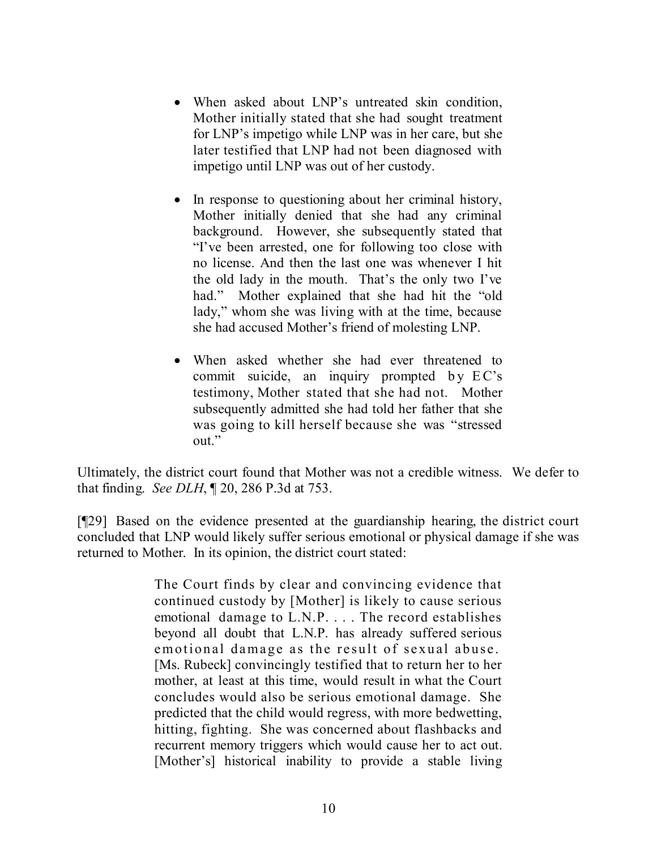- When asked about LNP's untreated skin condition, Mother initially stated that she had sought treatment for LNP's impetigo while LNP was in her care, but she later testified that LNP had not been diagnosed with impetigo until LNP was out of her custody.
- In response to questioning about her criminal history, Mother initially denied that she had any criminal background. However, she subsequently stated that "I've been arrested, one for following too close with no license. And then the last one was whenever I hit the old lady in the mouth. That's the only two I've had." Mother explained that she had hit the "old lady," whom she was living with at the time, because she had accused Mother's friend of molesting LNP.
- When asked whether she had ever threatened to commit suicide, an inquiry prompted by EC's testimony, Mother stated that she had not. Mother subsequently admitted she had told her father that she was going to kill herself because she was "stressed out."

Ultimately, the district court found that Mother was not a credible witness. We defer to that finding. *See DLH*, ¶ 20, 286 P.3d at 753.

[¶29] Based on the evidence presented at the guardianship hearing, the district court concluded that LNP would likely suffer serious emotional or physical damage if she was returned to Mother. In its opinion, the district court stated:

> The Court finds by clear and convincing evidence that continued custody by [Mother] is likely to cause serious emotional damage to L.N.P. . . . The record establishes beyond all doubt that L.N.P. has already suffered serious emotional damage as the result of sexual abuse. [Ms. Rubeck] convincingly testified that to return her to her mother, at least at this time, would result in what the Court concludes would also be serious emotional damage. She predicted that the child would regress, with more bedwetting, hitting, fighting. She was concerned about flashbacks and recurrent memory triggers which would cause her to act out. [Mother's] historical inability to provide a stable living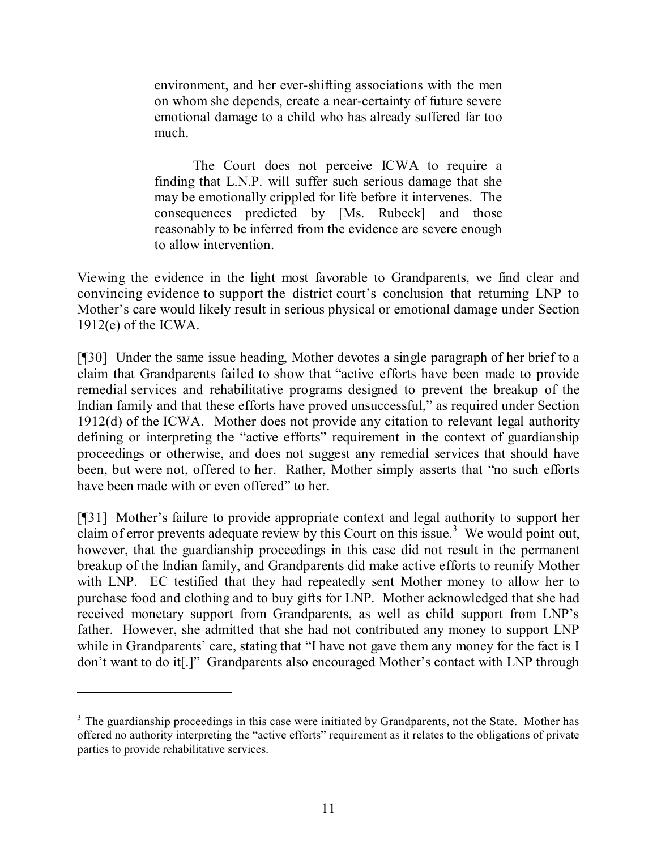environment, and her ever-shifting associations with the men on whom she depends, create a near-certainty of future severe emotional damage to a child who has already suffered far too much.

The Court does not perceive ICWA to require a finding that L.N.P. will suffer such serious damage that she may be emotionally crippled for life before it intervenes. The consequences predicted by [Ms. Rubeck] and those reasonably to be inferred from the evidence are severe enough to allow intervention.

Viewing the evidence in the light most favorable to Grandparents, we find clear and convincing evidence to support the district court's conclusion that returning LNP to Mother's care would likely result in serious physical or emotional damage under Section 1912(e) of the ICWA.

[¶30] Under the same issue heading, Mother devotes a single paragraph of her brief to a claim that Grandparents failed to show that "active efforts have been made to provide remedial services and rehabilitative programs designed to prevent the breakup of the Indian family and that these efforts have proved unsuccessful," as required under Section 1912(d) of the ICWA. Mother does not provide any citation to relevant legal authority defining or interpreting the "active efforts" requirement in the context of guardianship proceedings or otherwise, and does not suggest any remedial services that should have been, but were not, offered to her. Rather, Mother simply asserts that "no such efforts have been made with or even offered" to her.

[¶31] Mother's failure to provide appropriate context and legal authority to support her claim of error prevents adequate review by this Court on this issue. <sup>3</sup> We would point out, however, that the guardianship proceedings in this case did not result in the permanent breakup of the Indian family, and Grandparents did make active efforts to reunify Mother with LNP. EC testified that they had repeatedly sent Mother money to allow her to purchase food and clothing and to buy gifts for LNP. Mother acknowledged that she had received monetary support from Grandparents, as well as child support from LNP's father. However, she admitted that she had not contributed any money to support LNP while in Grandparents' care, stating that "I have not gave them any money for the fact is I don't want to do it[.]" Grandparents also encouraged Mother's contact with LNP through

<sup>&</sup>lt;sup>3</sup> The guardianship proceedings in this case were initiated by Grandparents, not the State. Mother has offered no authority interpreting the "active efforts" requirement as it relates to the obligations of private parties to provide rehabilitative services.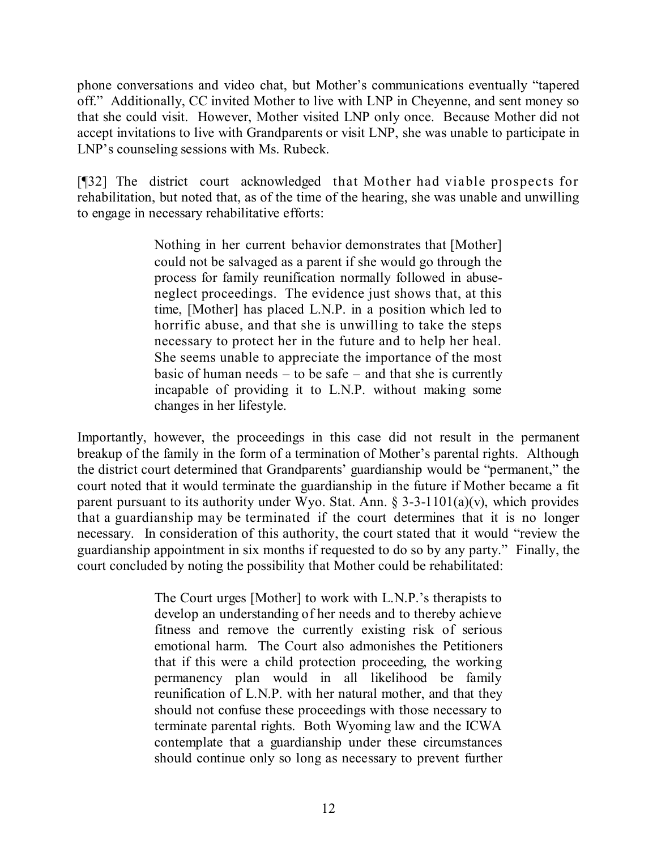phone conversations and video chat, but Mother's communications eventually "tapered off." Additionally, CC invited Mother to live with LNP in Cheyenne, and sent money so that she could visit. However, Mother visited LNP only once. Because Mother did not accept invitations to live with Grandparents or visit LNP, she was unable to participate in LNP's counseling sessions with Ms. Rubeck.

[¶32] The district court acknowledged that Mother had viable prospects for rehabilitation, but noted that, as of the time of the hearing, she was unable and unwilling to engage in necessary rehabilitative efforts:

> Nothing in her current behavior demonstrates that [Mother] could not be salvaged as a parent if she would go through the process for family reunification normally followed in abuseneglect proceedings. The evidence just shows that, at this time, [Mother] has placed L.N.P. in a position which led to horrific abuse, and that she is unwilling to take the steps necessary to protect her in the future and to help her heal. She seems unable to appreciate the importance of the most basic of human needs – to be safe – and that she is currently incapable of providing it to L.N.P. without making some changes in her lifestyle.

Importantly, however, the proceedings in this case did not result in the permanent breakup of the family in the form of a termination of Mother's parental rights. Although the district court determined that Grandparents' guardianship would be "permanent," the court noted that it would terminate the guardianship in the future if Mother became a fit parent pursuant to its authority under Wyo. Stat. Ann.  $\S 3-3-1101(a)(v)$ , which provides that a guardianship may be terminated if the court determines that it is no longer necessary. In consideration of this authority, the court stated that it would "review the guardianship appointment in six months if requested to do so by any party." Finally, the court concluded by noting the possibility that Mother could be rehabilitated:

> The Court urges [Mother] to work with L.N.P.'s therapists to develop an understanding of her needs and to thereby achieve fitness and remove the currently existing risk of serious emotional harm. The Court also admonishes the Petitioners that if this were a child protection proceeding, the working permanency plan would in all likelihood be family reunification of L.N.P. with her natural mother, and that they should not confuse these proceedings with those necessary to terminate parental rights. Both Wyoming law and the ICWA contemplate that a guardianship under these circumstances should continue only so long as necessary to prevent further